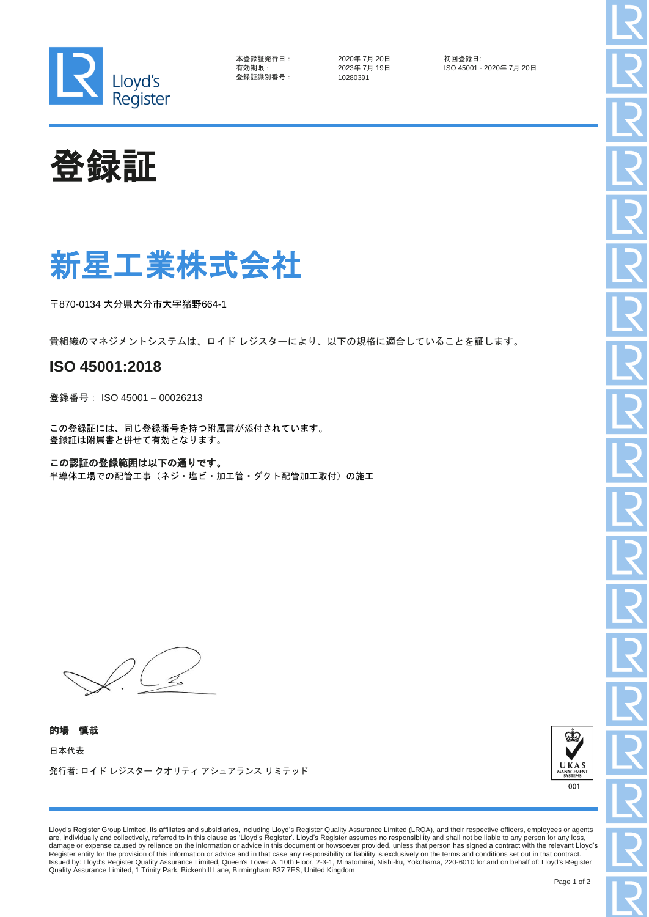

| 本登録証発行日  | - 1 |
|----------|-----|
| 有効期限:    |     |
| 登録証識別番号: |     |

本登録証発行日: 2020年 7月 20日 初回登録日: 登録証識別番号: 10280391

有効期限: 2023年 7月 19日 ISO 45001 - 2020年 7月 20日





〒870-0134 大分県大分市大字猪野664-1

貴組織のマネジメントシステムは、ロイド レジスターにより、以下の規格に適合していることを証します。

# **ISO 45001:2018**

登録番号: ISO 45001 – 00026213

この登録証には、同じ登録番号を持つ附属書が添付されています。 登録証は附属書と併せて有効となります。

#### この認証の登録範囲は以下の通りです。

半導体工場での配管工事(ネジ・塩ビ・加工管・ダクト配管加工取付)の施工

的場 慎哉 日本代表

発行者: ロイド レジスター クオリティ アシュアランス リミテッド



Lloyd's Register Group Limited, its affiliates and subsidiaries, including Lloyd's Register Quality Assurance Limited (LRQA), and their respective officers, employees or agents<br>are, individually and collectively, referred damage or expense caused by reliance on the information or advice in this document or howsoever provided, unless that person has signed a contract with the relevant Lloyd's Register entity for the provision of this information or advice and in that case any responsibility or liability is exclusively on the terms and conditions set out in that contract.<br>Issued by: Lloyd's Register Quality Assu Quality Assurance Limited, 1 Trinity Park, Bickenhill Lane, Birmingham B37 7ES, United Kingdom